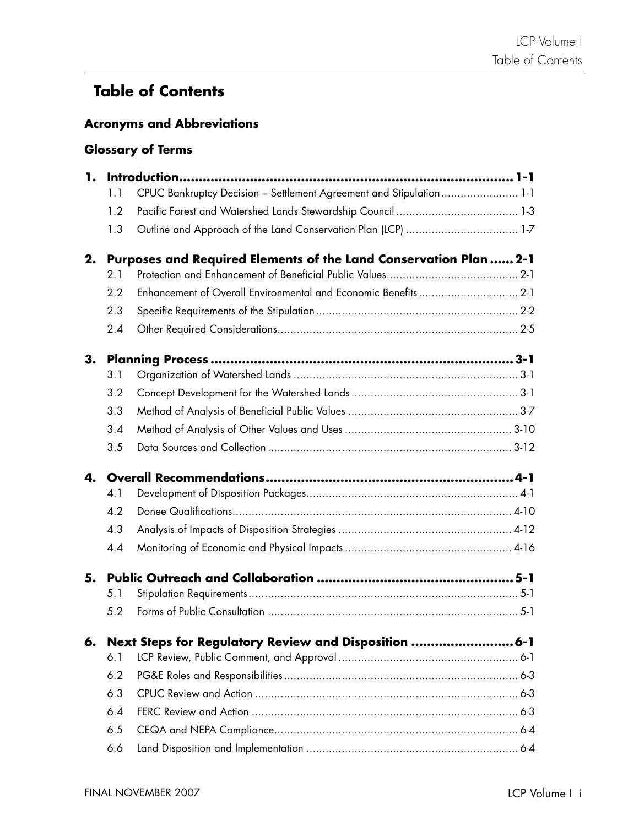## **Table of Contents**

## **Acronyms and Abbreviations**

## **Glossary of Terms**

| 1. |     |                                                                     |  |
|----|-----|---------------------------------------------------------------------|--|
|    | 1.1 | CPUC Bankruptcy Decision - Settlement Agreement and Stipulation 1-1 |  |
|    | 1.2 |                                                                     |  |
|    | 1.3 | Outline and Approach of the Land Conservation Plan (LCP)  1-7       |  |
| 2. |     | Purposes and Required Elements of the Land Conservation Plan  2-1   |  |
|    | 2.1 |                                                                     |  |
|    | 2.2 |                                                                     |  |
|    | 2.3 |                                                                     |  |
|    | 2.4 |                                                                     |  |
| 3. |     |                                                                     |  |
|    | 3.1 |                                                                     |  |
|    | 3.2 |                                                                     |  |
|    | 3.3 |                                                                     |  |
|    | 3.4 |                                                                     |  |
|    | 3.5 |                                                                     |  |
| 4. |     |                                                                     |  |
|    | 4.1 |                                                                     |  |
|    | 4.2 |                                                                     |  |
|    | 4.3 |                                                                     |  |
|    | 4.4 |                                                                     |  |
| 5. |     |                                                                     |  |
|    | 5.1 |                                                                     |  |
|    | 5.2 |                                                                     |  |
| 6. |     | Next Steps for Regulatory Review and Disposition  6-1               |  |
|    | 6.1 |                                                                     |  |
|    | 6.2 |                                                                     |  |
|    | 6.3 |                                                                     |  |
|    | 6.4 |                                                                     |  |
|    | 6.5 |                                                                     |  |
|    | 6.6 |                                                                     |  |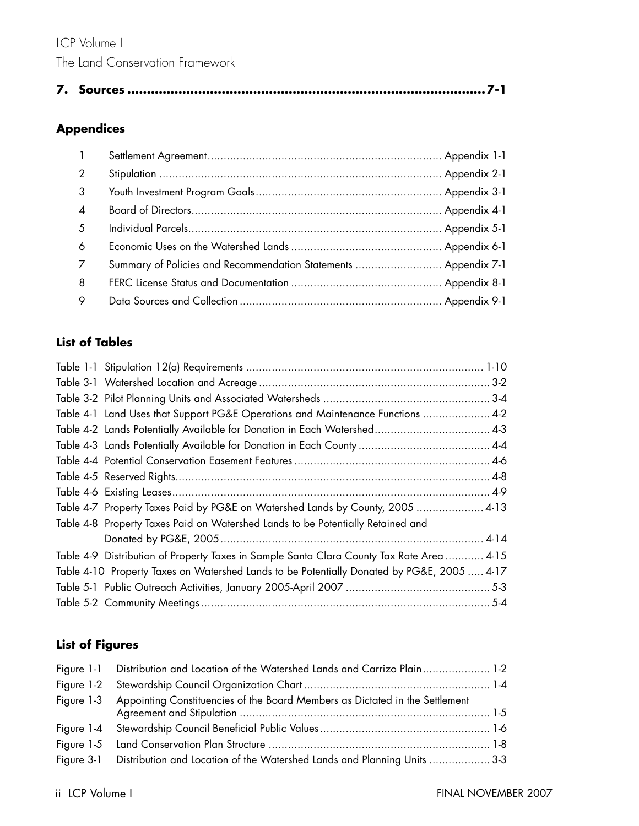|--|--|--|--|

## **Appendices**

| $\mathbf{1}$    |                                                                 |  |
|-----------------|-----------------------------------------------------------------|--|
| 2               |                                                                 |  |
| 3               |                                                                 |  |
| $\overline{4}$  |                                                                 |  |
| $5\overline{)}$ |                                                                 |  |
| 6               |                                                                 |  |
| $\overline{7}$  | Summary of Policies and Recommendation Statements  Appendix 7-1 |  |
| 8               |                                                                 |  |
| 9               |                                                                 |  |

## **List of Tables**

| Table 4-1 Land Uses that Support PG&E Operations and Maintenance Functions  4-2            |  |
|--------------------------------------------------------------------------------------------|--|
|                                                                                            |  |
|                                                                                            |  |
|                                                                                            |  |
|                                                                                            |  |
|                                                                                            |  |
| Table 4-7 Property Taxes Paid by PG&E on Watershed Lands by County, 2005  4-13             |  |
| Table 4-8 Property Taxes Paid on Watershed Lands to be Potentially Retained and            |  |
|                                                                                            |  |
| Table 4-9 Distribution of Property Taxes in Sample Santa Clara County Tax Rate Area  4-15  |  |
| Table 4-10 Property Taxes on Watershed Lands to be Potentially Donated by PG&E, 2005  4-17 |  |
|                                                                                            |  |
|                                                                                            |  |
|                                                                                            |  |

## **List of Figures**

| Figure 1-1 Distribution and Location of the Watershed Lands and Carrizo Plain 1-2       |  |
|-----------------------------------------------------------------------------------------|--|
|                                                                                         |  |
| Figure 1-3 Appointing Constituencies of the Board Members as Dictated in the Settlement |  |
|                                                                                         |  |
|                                                                                         |  |
| Figure 3-1 Distribution and Location of the Watershed Lands and Planning Units  3-3     |  |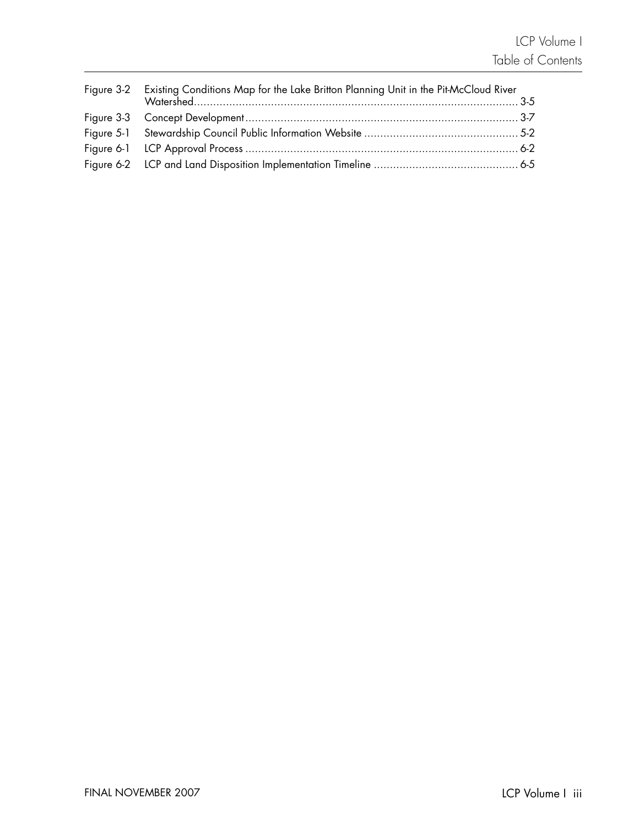| Figure 3-2 Existing Conditions Map for the Lake Britton Planning Unit in the Pit-McCloud River |  |
|------------------------------------------------------------------------------------------------|--|
|                                                                                                |  |
|                                                                                                |  |
|                                                                                                |  |
|                                                                                                |  |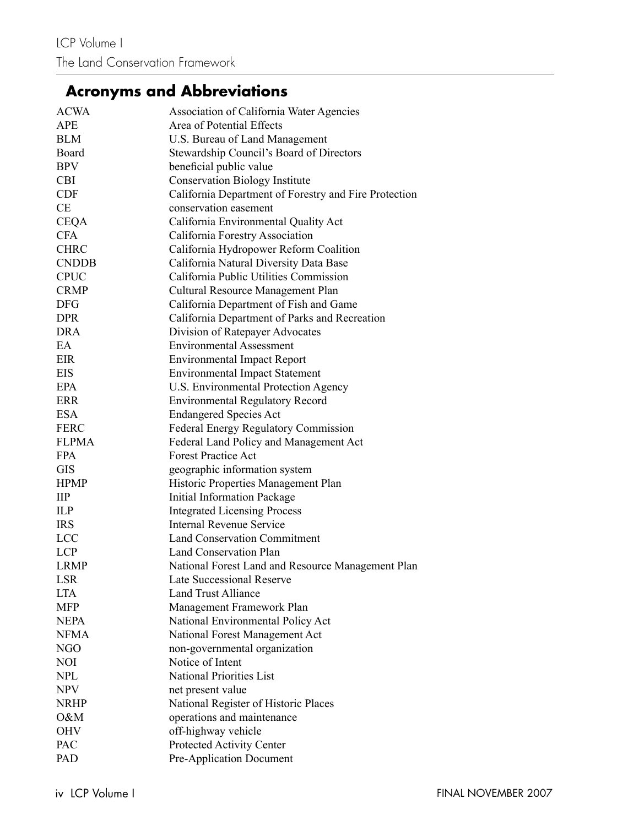# **Acronyms and Abbreviations**

| <b>ACWA</b>  | <b>Association of California Water Agencies</b>       |
|--------------|-------------------------------------------------------|
| <b>APE</b>   | Area of Potential Effects                             |
| <b>BLM</b>   | U.S. Bureau of Land Management                        |
| Board        | Stewardship Council's Board of Directors              |
| <b>BPV</b>   | beneficial public value                               |
| <b>CBI</b>   | <b>Conservation Biology Institute</b>                 |
| <b>CDF</b>   | California Department of Forestry and Fire Protection |
| <b>CE</b>    | conservation easement                                 |
| <b>CEQA</b>  | California Environmental Quality Act                  |
| <b>CFA</b>   | California Forestry Association                       |
| <b>CHRC</b>  | California Hydropower Reform Coalition                |
| <b>CNDDB</b> | California Natural Diversity Data Base                |
| <b>CPUC</b>  | California Public Utilities Commission                |
| <b>CRMP</b>  | Cultural Resource Management Plan                     |
| <b>DFG</b>   | California Department of Fish and Game                |
| <b>DPR</b>   | California Department of Parks and Recreation         |
| <b>DRA</b>   | Division of Ratepayer Advocates                       |
| EA           | <b>Environmental Assessment</b>                       |
| EIR          | <b>Environmental Impact Report</b>                    |
| <b>EIS</b>   | <b>Environmental Impact Statement</b>                 |
| <b>EPA</b>   | U.S. Environmental Protection Agency                  |
| <b>ERR</b>   | <b>Environmental Regulatory Record</b>                |
| <b>ESA</b>   | <b>Endangered Species Act</b>                         |
| <b>FERC</b>  | <b>Federal Energy Regulatory Commission</b>           |
| <b>FLPMA</b> | Federal Land Policy and Management Act                |
| <b>FPA</b>   | <b>Forest Practice Act</b>                            |
| <b>GIS</b>   | geographic information system                         |
| <b>HPMP</b>  | Historic Properties Management Plan                   |
| $\mathbf{H}$ | <b>Initial Information Package</b>                    |
| <b>ILP</b>   | <b>Integrated Licensing Process</b>                   |
| <b>IRS</b>   | <b>Internal Revenue Service</b>                       |
| <b>LCC</b>   | <b>Land Conservation Commitment</b>                   |
| <b>LCP</b>   | Land Conservation Plan                                |
| <b>LRMP</b>  | National Forest Land and Resource Management Plan     |
| <b>LSR</b>   | <b>Late Successional Reserve</b>                      |
| <b>LTA</b>   | <b>Land Trust Alliance</b>                            |
| <b>MFP</b>   | Management Framework Plan                             |
| <b>NEPA</b>  | National Environmental Policy Act                     |
| <b>NFMA</b>  | National Forest Management Act                        |
| NGO          | non-governmental organization                         |
| NOI          | Notice of Intent                                      |
| <b>NPL</b>   | <b>National Priorities List</b>                       |
| <b>NPV</b>   | net present value                                     |
| <b>NRHP</b>  | National Register of Historic Places                  |
| O&M          | operations and maintenance                            |
| <b>OHV</b>   | off-highway vehicle                                   |
| <b>PAC</b>   | Protected Activity Center                             |
| PAD          | Pre-Application Document                              |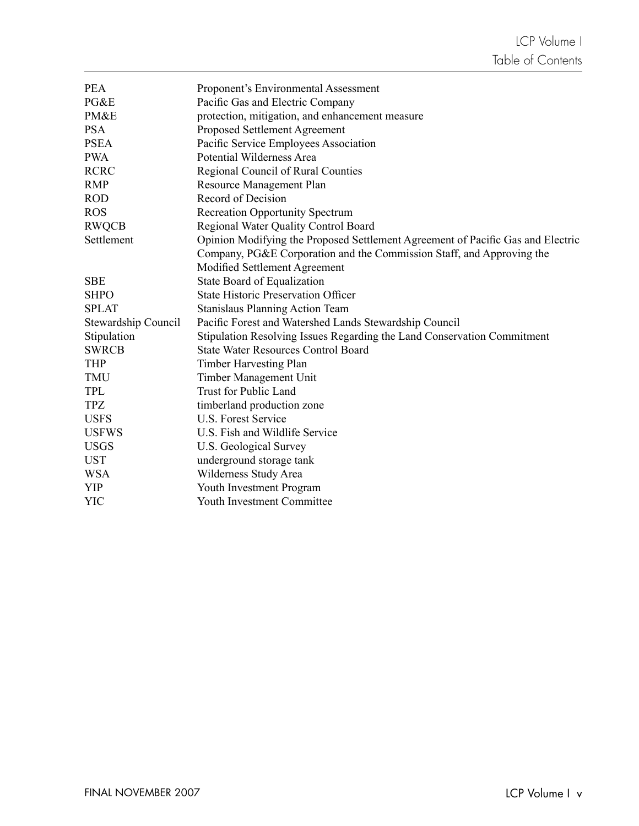| <b>PEA</b>          | Proponent's Environmental Assessment                                            |
|---------------------|---------------------------------------------------------------------------------|
| PG&E                | Pacific Gas and Electric Company                                                |
| PM&E                | protection, mitigation, and enhancement measure                                 |
| <b>PSA</b>          | Proposed Settlement Agreement                                                   |
| <b>PSEA</b>         | Pacific Service Employees Association                                           |
| <b>PWA</b>          | Potential Wilderness Area                                                       |
| <b>RCRC</b>         | Regional Council of Rural Counties                                              |
| <b>RMP</b>          | Resource Management Plan                                                        |
| <b>ROD</b>          | Record of Decision                                                              |
| <b>ROS</b>          | <b>Recreation Opportunity Spectrum</b>                                          |
| <b>RWQCB</b>        | Regional Water Quality Control Board                                            |
| Settlement          | Opinion Modifying the Proposed Settlement Agreement of Pacific Gas and Electric |
|                     | Company, PG&E Corporation and the Commission Staff, and Approving the           |
|                     | Modified Settlement Agreement                                                   |
| <b>SBE</b>          | State Board of Equalization                                                     |
| <b>SHPO</b>         | <b>State Historic Preservation Officer</b>                                      |
| <b>SPLAT</b>        | <b>Stanislaus Planning Action Team</b>                                          |
| Stewardship Council | Pacific Forest and Watershed Lands Stewardship Council                          |
| Stipulation         | Stipulation Resolving Issues Regarding the Land Conservation Commitment         |
| <b>SWRCB</b>        | <b>State Water Resources Control Board</b>                                      |
| <b>THP</b>          | Timber Harvesting Plan                                                          |
| TMU                 | Timber Management Unit                                                          |
| <b>TPL</b>          | Trust for Public Land                                                           |
| <b>TPZ</b>          | timberland production zone                                                      |
| <b>USFS</b>         | U.S. Forest Service                                                             |
| <b>USFWS</b>        | U.S. Fish and Wildlife Service                                                  |
| <b>USGS</b>         | U.S. Geological Survey                                                          |
| <b>UST</b>          | underground storage tank                                                        |
| <b>WSA</b>          | Wilderness Study Area                                                           |
| <b>YIP</b>          | Youth Investment Program                                                        |
| <b>YIC</b>          | Youth Investment Committee                                                      |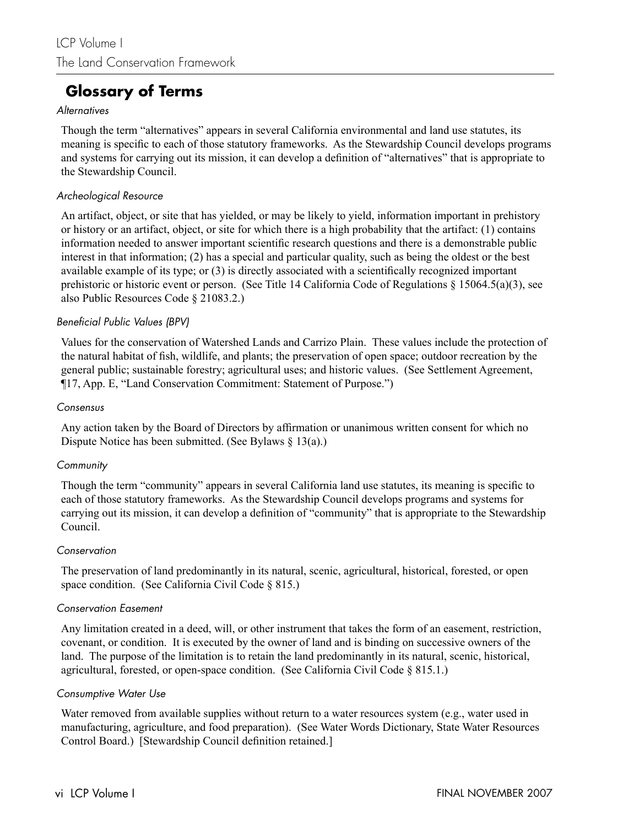## **Glossary of Terms**

#### **Alternatives**

Though the term "alternatives" appears in several California environmental and land use statutes, its meaning is specific to each of those statutory frameworks. As the Stewardship Council develops programs and systems for carrying out its mission, it can develop a definition of "alternatives" that is appropriate to the Stewardship Council.

#### Archeological Resource

An artifact, object, or site that has yielded, or may be likely to yield, information important in prehistory or history or an artifact, object, or site for which there is a high probability that the artifact: (1) contains information needed to answer important scientific research questions and there is a demonstrable public interest in that information; (2) has a special and particular quality, such as being the oldest or the best available example of its type; or  $(3)$  is directly associated with a scientifically recognized important prehistoric or historic event or person. (See Title 14 California Code of Regulations § 15064.5(a)(3), see also Public Resources Code § 21083.2.)

#### Beneficial Public Values (BPV)

Values for the conservation of Watershed Lands and Carrizo Plain. These values include the protection of the natural habitat of fish, wildlife, and plants; the preservation of open space; outdoor recreation by the general public; sustainable forestry; agricultural uses; and historic values. (See Settlement Agreement, ¶17, App. E, "Land Conservation Commitment: Statement of Purpose.")

#### Consensus

Any action taken by the Board of Directors by affirmation or unanimous written consent for which no Dispute Notice has been submitted. (See Bylaws § 13(a).)

#### **Community**

Though the term "community" appears in several California land use statutes, its meaning is specific to each of those statutory frameworks. As the Stewardship Council develops programs and systems for carrying out its mission, it can develop a definition of "community" that is appropriate to the Stewardship Council.

#### **Conservation**

The preservation of land predominantly in its natural, scenic, agricultural, historical, forested, or open space condition. (See California Civil Code § 815.)

#### Conservation Easement

Any limitation created in a deed, will, or other instrument that takes the form of an easement, restriction, covenant, or condition. It is executed by the owner of land and is binding on successive owners of the land. The purpose of the limitation is to retain the land predominantly in its natural, scenic, historical, agricultural, forested, or open-space condition. (See California Civil Code § 815.1.)

#### Consumptive Water Use

Water removed from available supplies without return to a water resources system (e.g., water used in manufacturing, agriculture, and food preparation). (See Water Words Dictionary, State Water Resources Control Board.) [Stewardship Council definition retained.]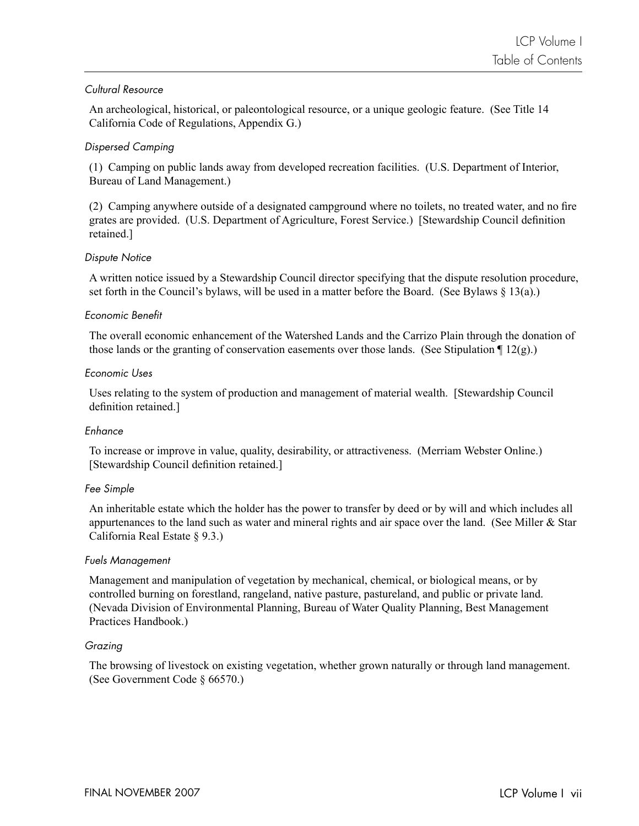#### Cultural Resource

An archeological, historical, or paleontological resource, or a unique geologic feature. (See Title 14 California Code of Regulations, Appendix G.)

#### Dispersed Camping

(1) Camping on public lands away from developed recreation facilities. (U.S. Department of Interior, Bureau of Land Management.)

(2) Camping anywhere outside of a designated campground where no toilets, no treated water, and no fi re grates are provided. (U.S. Department of Agriculture, Forest Service.) [Stewardship Council definition] retained.]

#### Dispute Notice

A written notice issued by a Stewardship Council director specifying that the dispute resolution procedure, set forth in the Council's bylaws, will be used in a matter before the Board. (See Bylaws § 13(a).)

#### Economic Benefit

The overall economic enhancement of the Watershed Lands and the Carrizo Plain through the donation of those lands or the granting of conservation easements over those lands. (See Stipulation  $\P$  12(g).)

#### Economic Uses

Uses relating to the system of production and management of material wealth. [Stewardship Council definition retained.]

#### Enhance

To increase or improve in value, quality, desirability, or attractiveness. (Merriam Webster Online.) [Stewardship Council definition retained.]

#### Fee Simple

An inheritable estate which the holder has the power to transfer by deed or by will and which includes all appurtenances to the land such as water and mineral rights and air space over the land. (See Miller  $\&$  Star California Real Estate § 9.3.)

#### Fuels Management

Management and manipulation of vegetation by mechanical, chemical, or biological means, or by controlled burning on forestland, rangeland, native pasture, pastureland, and public or private land. (Nevada Division of Environmental Planning, Bureau of Water Quality Planning, Best Management Practices Handbook.)

#### Grazing

The browsing of livestock on existing vegetation, whether grown naturally or through land management. (See Government Code § 66570.)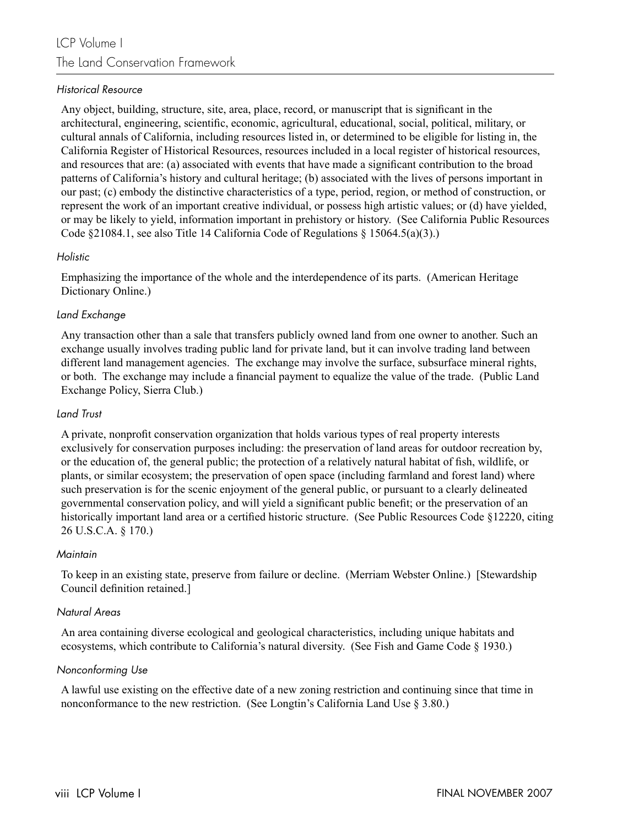#### Historical Resource

Any object, building, structure, site, area, place, record, or manuscript that is significant in the architectural, engineering, scientific, economic, agricultural, educational, social, political, military, or cultural annals of California, including resources listed in, or determined to be eligible for listing in, the California Register of Historical Resources, resources included in a local register of historical resources, and resources that are: (a) associated with events that have made a significant contribution to the broad patterns of California's history and cultural heritage; (b) associated with the lives of persons important in our past; (c) embody the distinctive characteristics of a type, period, region, or method of construction, or represent the work of an important creative individual, or possess high artistic values; or (d) have yielded, or may be likely to yield, information important in prehistory or history. (See California Public Resources Code §21084.1, see also Title 14 California Code of Regulations § 15064.5(a)(3).)

#### Holistic

Emphasizing the importance of the whole and the interdependence of its parts. (American Heritage Dictionary Online.)

#### Land Exchange

Any transaction other than a sale that transfers publicly owned land from one owner to another. Such an exchange usually involves trading public land for private land, but it can involve trading land between different land management agencies. The exchange may involve the surface, subsurface mineral rights, or both. The exchange may include a financial payment to equalize the value of the trade. (Public Land Exchange Policy, Sierra Club.)

#### Land Trust

A private, nonprofi t conservation organization that holds various types of real property interests exclusively for conservation purposes including: the preservation of land areas for outdoor recreation by, or the education of, the general public; the protection of a relatively natural habitat of fish, wildlife, or plants, or similar ecosystem; the preservation of open space (including farmland and forest land) where such preservation is for the scenic enjoyment of the general public, or pursuant to a clearly delineated governmental conservation policy, and will yield a significant public benefit; or the preservation of an historically important land area or a certified historic structure. (See Public Resources Code §12220, citing 26 U.S.C.A. § 170.)

#### **Maintain**

To keep in an existing state, preserve from failure or decline. (Merriam Webster Online.) [Stewardship Council definition retained.]

#### Natural Areas

An area containing diverse ecological and geological characteristics, including unique habitats and ecosystems, which contribute to California's natural diversity. (See Fish and Game Code § 1930.)

#### Nonconforming Use

A lawful use existing on the effective date of a new zoning restriction and continuing since that time in nonconformance to the new restriction. (See Longtin's California Land Use § 3.80.)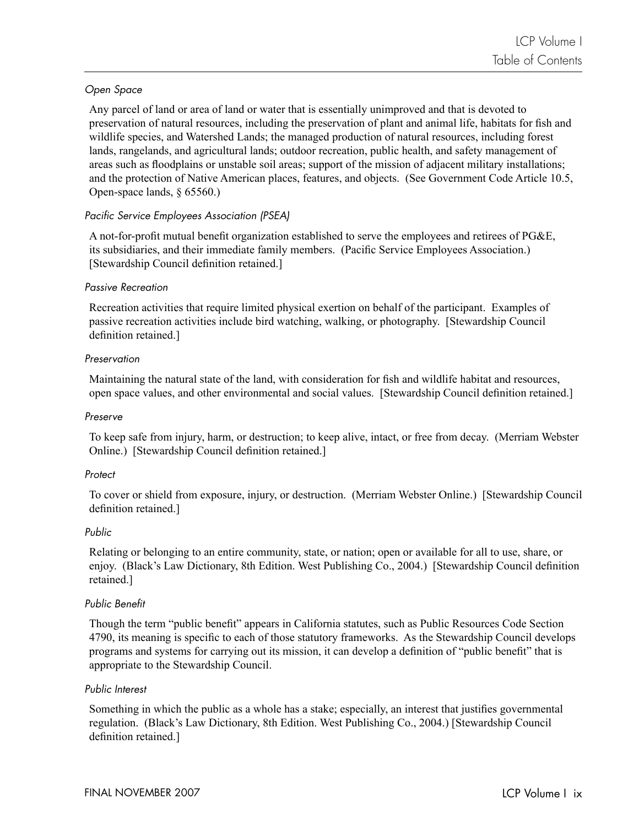#### Open Space

Any parcel of land or area of land or water that is essentially unimproved and that is devoted to preservation of natural resources, including the preservation of plant and animal life, habitats for fish and wildlife species, and Watershed Lands; the managed production of natural resources, including forest lands, rangelands, and agricultural lands; outdoor recreation, public health, and safety management of areas such as floodplains or unstable soil areas; support of the mission of adjacent military installations; and the protection of Native American places, features, and objects. (See Government Code Article 10.5, Open-space lands, § 65560.)

#### Pacific Service Employees Association (PSEA)

A not-for-profit mutual benefit organization established to serve the employees and retirees of PG&E, its subsidiaries, and their immediate family members. (Pacific Service Employees Association.) [Stewardship Council definition retained.]

#### Passive Recreation

Recreation activities that require limited physical exertion on behalf of the participant. Examples of passive recreation activities include bird watching, walking, or photography. [Stewardship Council definition retained.]

#### Preservation

Maintaining the natural state of the land, with consideration for fish and wildlife habitat and resources, open space values, and other environmental and social values. [Stewardship Council definition retained.]

#### Preserve

To keep safe from injury, harm, or destruction; to keep alive, intact, or free from decay. (Merriam Webster Online.) [Stewardship Council definition retained.]

#### **Protect**

To cover or shield from exposure, injury, or destruction. (Merriam Webster Online.) [Stewardship Council definition retained.]

#### Public

Relating or belonging to an entire community, state, or nation; open or available for all to use, share, or enjoy. (Black's Law Dictionary, 8th Edition. West Publishing Co., 2004.) [Stewardship Council definition retained.]

#### Public Benefit

Though the term "public benefit" appears in California statutes, such as Public Resources Code Section 4790, its meaning is specific to each of those statutory frameworks. As the Stewardship Council develops programs and systems for carrying out its mission, it can develop a definition of "public benefit" that is appropriate to the Stewardship Council.

#### Public Interest

Something in which the public as a whole has a stake; especially, an interest that justifies governmental regulation. (Black's Law Dictionary, 8th Edition. West Publishing Co., 2004.) [Stewardship Council definition retained.]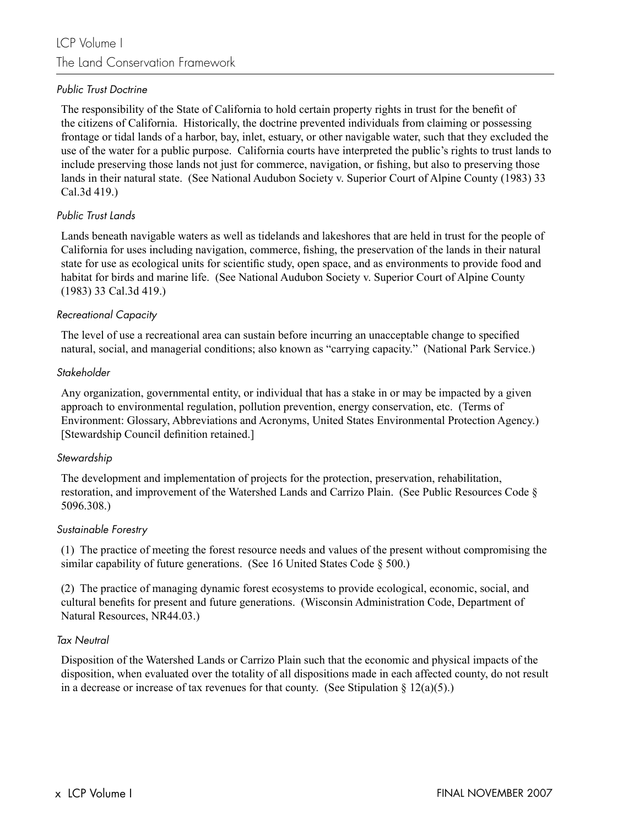#### Public Trust Doctrine

The responsibility of the State of California to hold certain property rights in trust for the benefi t of the citizens of California. Historically, the doctrine prevented individuals from claiming or possessing frontage or tidal lands of a harbor, bay, inlet, estuary, or other navigable water, such that they excluded the use of the water for a public purpose. California courts have interpreted the public's rights to trust lands to include preserving those lands not just for commerce, navigation, or fishing, but also to preserving those lands in their natural state. (See National Audubon Society v. Superior Court of Alpine County (1983) 33 Cal.3d 419.)

#### Public Trust Lands

Lands beneath navigable waters as well as tidelands and lakeshores that are held in trust for the people of California for uses including navigation, commerce, fishing, the preservation of the lands in their natural state for use as ecological units for scientific study, open space, and as environments to provide food and habitat for birds and marine life. (See National Audubon Society v. Superior Court of Alpine County (1983) 33 Cal.3d 419.)

#### Recreational Capacity

The level of use a recreational area can sustain before incurring an unacceptable change to specified natural, social, and managerial conditions; also known as "carrying capacity." (National Park Service.)

#### Stakeholder

Any organization, governmental entity, or individual that has a stake in or may be impacted by a given approach to environmental regulation, pollution prevention, energy conservation, etc. (Terms of Environment: Glossary, Abbreviations and Acronyms, United States Environmental Protection Agency.) [Stewardship Council definition retained.]

#### Stewardship

The development and implementation of projects for the protection, preservation, rehabilitation, restoration, and improvement of the Watershed Lands and Carrizo Plain. (See Public Resources Code § 5096.308.)

#### Sustainable Forestry

(1) The practice of meeting the forest resource needs and values of the present without compromising the similar capability of future generations. (See 16 United States Code § 500.)

(2) The practice of managing dynamic forest ecosystems to provide ecological, economic, social, and cultural benefits for present and future generations. (Wisconsin Administration Code, Department of Natural Resources, NR44.03.)

#### Tax Neutral

Disposition of the Watershed Lands or Carrizo Plain such that the economic and physical impacts of the disposition, when evaluated over the totality of all dispositions made in each affected county, do not result in a decrease or increase of tax revenues for that county. (See Stipulation  $\S 12(a)(5)$ .)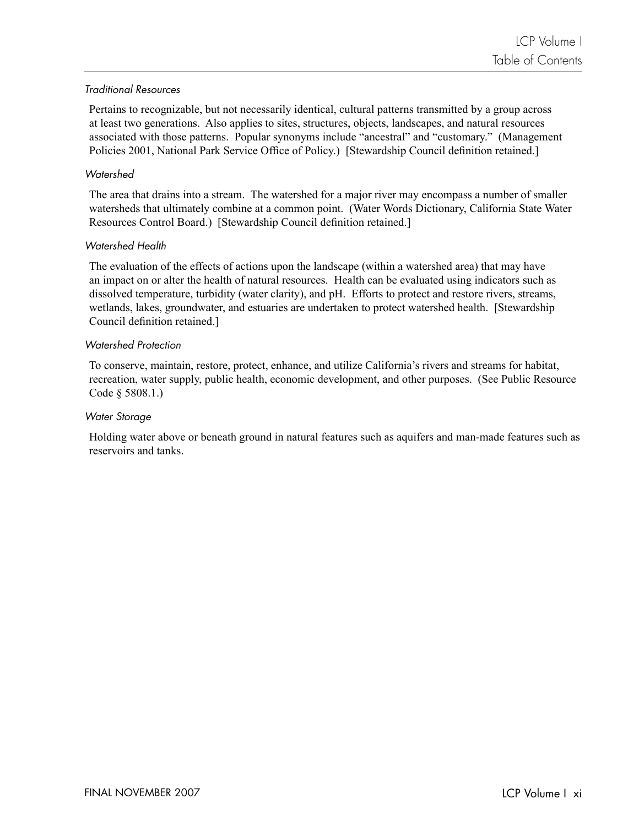#### Traditional Resources

Pertains to recognizable, but not necessarily identical, cultural patterns transmitted by a group across at least two generations. Also applies to sites, structures, objects, landscapes, and natural resources associated with those patterns. Popular synonyms include "ancestral" and "customary." (Management Policies 2001, National Park Service Office of Policy.) [Stewardship Council definition retained.]

#### **Watershed**

The area that drains into a stream. The watershed for a major river may encompass a number of smaller watersheds that ultimately combine at a common point. (Water Words Dictionary, California State Water Resources Control Board.) [Stewardship Council definition retained.]

#### Watershed Health

The evaluation of the effects of actions upon the landscape (within a watershed area) that may have an impact on or alter the health of natural resources. Health can be evaluated using indicators such as dissolved temperature, turbidity (water clarity), and pH. Efforts to protect and restore rivers, streams, wetlands, lakes, groundwater, and estuaries are undertaken to protect watershed health. [Stewardship Council definition retained.]

#### Watershed Protection

To conserve, maintain, restore, protect, enhance, and utilize California's rivers and streams for habitat, recreation, water supply, public health, economic development, and other purposes. (See Public Resource Code § 5808.1.)

#### Water Storage

Holding water above or beneath ground in natural features such as aquifers and man-made features such as reservoirs and tanks.